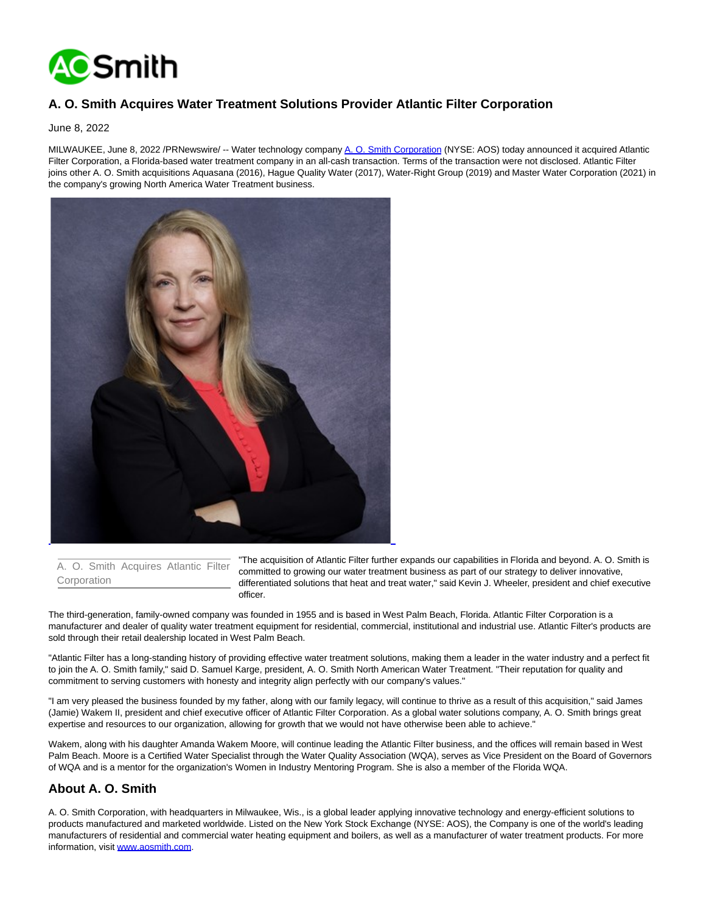

## **A. O. Smith Acquires Water Treatment Solutions Provider Atlantic Filter Corporation**

June 8, 2022

MILWAUKEE, June 8, 2022 /PRNewswire/ -- Water technology company [A. O. Smith Corporation \(](https://c212.net/c/link/?t=0&l=en&o=3561673-1&h=1981876524&u=https%3A%2F%2Fwww.aosmith.com%2F&a=A.+O.+Smith+Corporation)NYSE: AOS) today announced it acquired Atlantic Filter Corporation, a Florida-based water treatment company in an all-cash transaction. Terms of the transaction were not disclosed. Atlantic Filter joins other A. O. Smith acquisitions Aquasana (2016), Hague Quality Water (2017), Water-Right Group (2019) and Master Water Corporation (2021) in the company's growing North America Water Treatment business.



A. O. Smith Acquires Atlantic Filter Corporation

"The acquisition of Atlantic Filter further expands our capabilities in Florida and beyond. A. O. Smith is committed to growing our water treatment business as part of our strategy to deliver innovative, differentiated solutions that heat and treat water," said Kevin J. Wheeler, president and chief executive officer.

The third-generation, family-owned company was founded in 1955 and is based in West Palm Beach, Florida. Atlantic Filter Corporation is a manufacturer and dealer of quality water treatment equipment for residential, commercial, institutional and industrial use. Atlantic Filter's products are sold through their retail dealership located in West Palm Beach.

"Atlantic Filter has a long-standing history of providing effective water treatment solutions, making them a leader in the water industry and a perfect fit to join the A. O. Smith family," said D. Samuel Karge, president, A. O. Smith North American Water Treatment. "Their reputation for quality and commitment to serving customers with honesty and integrity align perfectly with our company's values."

"I am very pleased the business founded by my father, along with our family legacy, will continue to thrive as a result of this acquisition," said James (Jamie) Wakem II, president and chief executive officer of Atlantic Filter Corporation. As a global water solutions company, A. O. Smith brings great expertise and resources to our organization, allowing for growth that we would not have otherwise been able to achieve."

Wakem, along with his daughter Amanda Wakem Moore, will continue leading the Atlantic Filter business, and the offices will remain based in West Palm Beach. Moore is a Certified Water Specialist through the Water Quality Association (WQA), serves as Vice President on the Board of Governors of WQA and is a mentor for the organization's Women in Industry Mentoring Program. She is also a member of the Florida WQA.

## **About A. O. Smith**

A. O. Smith Corporation, with headquarters in Milwaukee, Wis., is a global leader applying innovative technology and energy-efficient solutions to products manufactured and marketed worldwide. Listed on the New York Stock Exchange (NYSE: AOS), the Company is one of the world's leading manufacturers of residential and commercial water heating equipment and boilers, as well as a manufacturer of water treatment products. For more information, visit [www.aosmith.com.](https://c212.net/c/link/?t=0&l=en&o=3561673-1&h=3034447514&u=http%3A%2F%2Fwww.aosmith.com%2F&a=www.aosmith.com)